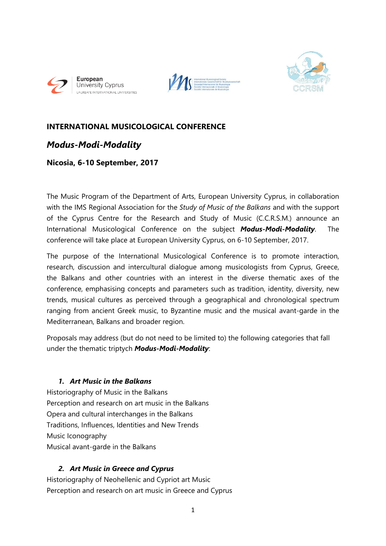





# **INTERNATIONAL MUSICOLOGICAL CONFERENCE**

# *Modus-Modi-Modality*

# **Nicosia, 6-10 September, 2017**

The Music Program of the Department of Arts, European University Cyprus, in collaboration with the IMS Regional Association for the *Study of Music of the Balkans* and with the support of the Cyprus Centre for the Research and Study of Music (C.C.R.S.M.) announce an International Musicological Conference on the subject *Modus-Modi-Modality*. The conference will take place at European University Cyprus, on 6-10 September, 2017.

The purpose of the International Musicological Conference is to promote interaction, research, discussion and intercultural dialogue among musicologists from Cyprus, Greece, the Balkans and other countries with an interest in the diverse thematic axes of the conference, emphasising concepts and parameters such as tradition, identity, diversity, new trends, musical cultures as perceived through a geographical and chronological spectrum ranging from ancient Greek music, to Byzantine music and the musical avant-garde in the Mediterranean, Balkans and broader region.

Proposals may address (but do not need to be limited to) the following categories that fall under the thematic triptych *Modus-Modi-Modality*:

# *1. Art Music in the Balkans*

Historiography of Music in the Balkans Perception and research on art music in the Balkans Opera and cultural interchanges in the Balkans Traditions, Influences, Identities and New Trends Music Iconography Musical avant-garde in the Balkans

# *2. Art Music in Greece and Cyprus*

Historiography of Neohellenic and Cypriot art Music Perception and research on art music in Greece and Cyprus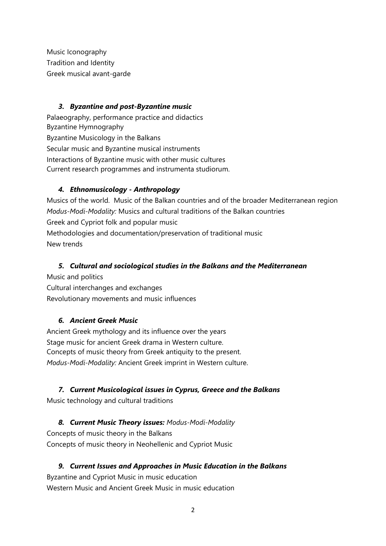Music Iconography Tradition and Identity Greek musical avant-garde

#### *3. Byzantine and post-Byzantine music*

Palaeography, performance practice and didactics Byzantine Hymnography Byzantine Musicology in the Balkans Secular music and Byzantine musical instruments Interactions of Byzantine music with other music cultures Current research programmes and instrumenta studiorum.

# *4. Ethnomusicology - Anthropology*

Musics of the world. Music of the Balkan countries and of the broader Mediterranean region *Modus-Modi-Modality:* Musics and cultural traditions of the Balkan countries Greek and Cypriot folk and popular music Methodologies and documentation/preservation of traditional music New trends

# *5. Cultural and sociological studies in the Balkans and the Mediterranean*

Music and politics

Cultural interchanges and exchanges Revolutionary movements and music influences

# *6. Ancient Greek Music*

Ancient Greek mythology and its influence over the years Stage music for ancient Greek drama in Western culture. Concepts of music theory from Greek antiquity to the present. *Modus-Modi-Modality:* Ancient Greek imprint in Western culture.

# *7. Current Musicological issues in Cyprus, Greece and the Balkans*

Music technology and cultural traditions

*8. Current Music Theory issues: Modus-Modi-Modality* Concepts of music theory in the Balkans Concepts of music theory in Neohellenic and Cypriot Music

*9. Current Issues and Approaches in Music Education in the Balkans* Byzantine and Cypriot Music in music education Western Music and Ancient Greek Music in music education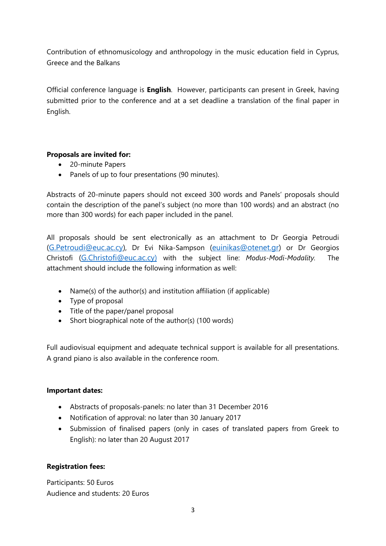Contribution of ethnomusicology and anthropology in the music education field in Cyprus, Greece and the Balkans

Official conference language is **English**. However, participants can present in Greek, having submitted prior to the conference and at a set deadline a translation of the final paper in English.

#### **Proposals are invited for:**

- 20-minute Papers
- Panels of up to four presentations (90 minutes).

Abstracts of 20-minute papers should not exceed 300 words and Panels' proposals should contain the description of the panel's subject (no more than 100 words) and an abstract (no more than 300 words) for each paper included in the panel.

All proposals should be sent electronically as an attachment to Dr Georgia Petroudi [\(G.Petroudi@euc.ac.cy\)](mailto:G.Petroudi@euc.ac.cy), Dr Evi Nika-Sampson [\(euinikas@otenet.gr\)](mailto:euinikas@otenet.gr) or Dr Georgios Christofi [\(G.Christofi@euc.ac.cy\)](mailto:G.Christofi@euc.ac.cy) with the subject line: *Modus-Modi-Modality.* The attachment should include the following information as well:

- Name(s) of the author(s) and institution affiliation (if applicable)
- Type of proposal
- Title of the paper/panel proposal
- Short biographical note of the author(s) (100 words)

Full audiovisual equipment and adequate technical support is available for all presentations. A grand piano is also available in the conference room.

#### **Important dates:**

- Abstracts of proposals-panels: no later than 31 December 2016
- Notification of approval: no later than 30 January 2017
- Submission of finalised papers (only in cases of translated papers from Greek to English): no later than 20 August 2017

#### **Registration fees:**

Participants: 50 Euros Audience and students: 20 Euros